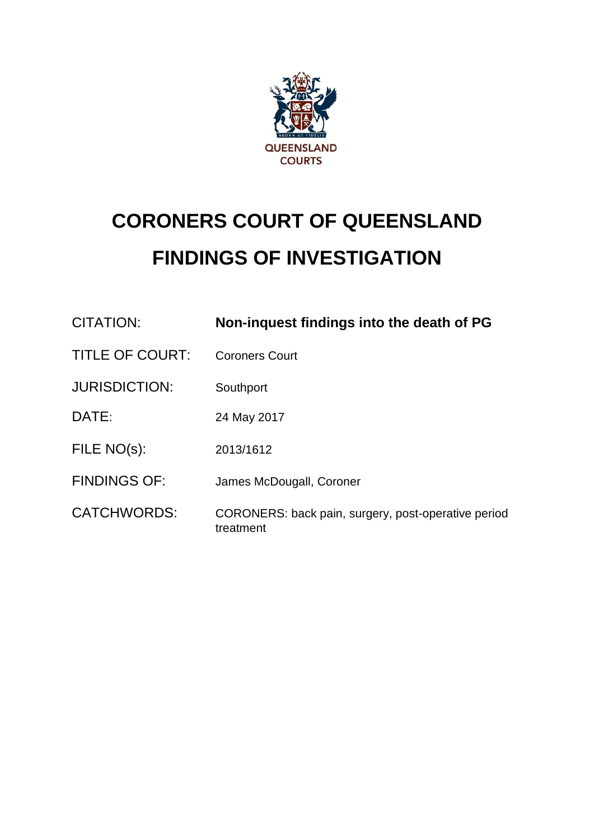

# **CORONERS COURT OF QUEENSLAND FINDINGS OF INVESTIGATION**

| CITATION:              | Non-inquest findings into the death of PG                        |
|------------------------|------------------------------------------------------------------|
| <b>TITLE OF COURT:</b> | <b>Coroners Court</b>                                            |
| <b>JURISDICTION:</b>   | Southport                                                        |
| DATE:                  | 24 May 2017                                                      |
| FILE NO(s):            | 2013/1612                                                        |
| <b>FINDINGS OF:</b>    | James McDougall, Coroner                                         |
| <b>CATCHWORDS:</b>     | CORONERS: back pain, surgery, post-operative period<br>treatment |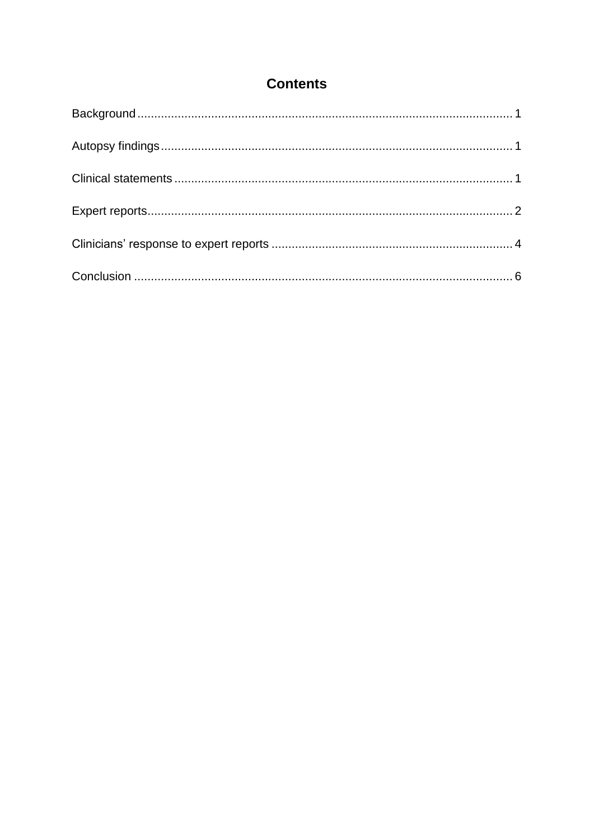# **Contents**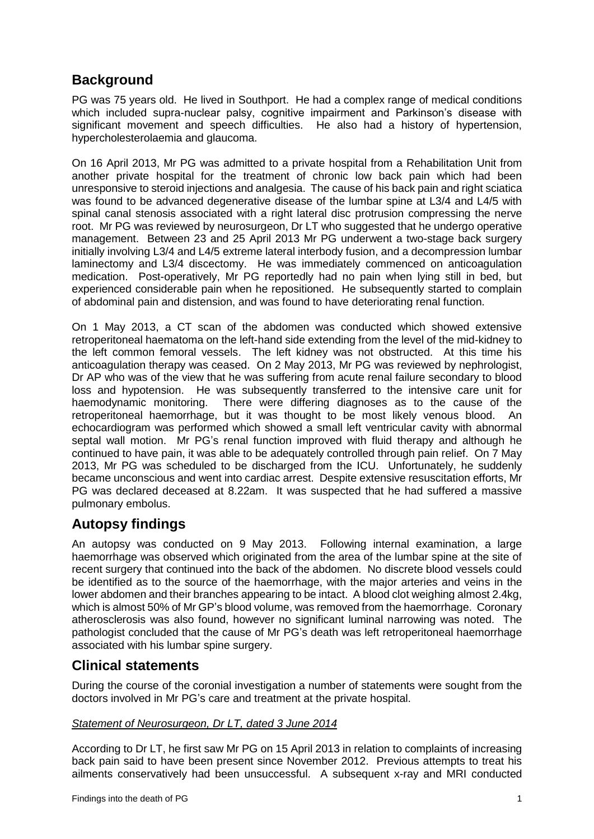# <span id="page-2-0"></span>**Background**

PG was 75 years old. He lived in Southport. He had a complex range of medical conditions which included supra-nuclear palsy, cognitive impairment and Parkinson's disease with significant movement and speech difficulties. He also had a history of hypertension, hypercholesterolaemia and glaucoma.

On 16 April 2013, Mr PG was admitted to a private hospital from a Rehabilitation Unit from another private hospital for the treatment of chronic low back pain which had been unresponsive to steroid injections and analgesia. The cause of his back pain and right sciatica was found to be advanced degenerative disease of the lumbar spine at L3/4 and L4/5 with spinal canal stenosis associated with a right lateral disc protrusion compressing the nerve root. Mr PG was reviewed by neurosurgeon, Dr LT who suggested that he undergo operative management. Between 23 and 25 April 2013 Mr PG underwent a two-stage back surgery initially involving L3/4 and L4/5 extreme lateral interbody fusion, and a decompression lumbar laminectomy and L3/4 discectomy. He was immediately commenced on anticoagulation medication. Post-operatively, Mr PG reportedly had no pain when lying still in bed, but experienced considerable pain when he repositioned. He subsequently started to complain of abdominal pain and distension, and was found to have deteriorating renal function.

On 1 May 2013, a CT scan of the abdomen was conducted which showed extensive retroperitoneal haematoma on the left-hand side extending from the level of the mid-kidney to the left common femoral vessels. The left kidney was not obstructed. At this time his anticoagulation therapy was ceased. On 2 May 2013, Mr PG was reviewed by nephrologist, Dr AP who was of the view that he was suffering from acute renal failure secondary to blood loss and hypotension. He was subsequently transferred to the intensive care unit for haemodynamic monitoring. There were differing diagnoses as to the cause of the retroperitoneal haemorrhage, but it was thought to be most likely venous blood. An echocardiogram was performed which showed a small left ventricular cavity with abnormal septal wall motion. Mr PG's renal function improved with fluid therapy and although he continued to have pain, it was able to be adequately controlled through pain relief. On 7 May 2013, Mr PG was scheduled to be discharged from the ICU. Unfortunately, he suddenly became unconscious and went into cardiac arrest. Despite extensive resuscitation efforts, Mr PG was declared deceased at 8.22am. It was suspected that he had suffered a massive pulmonary embolus.

## <span id="page-2-1"></span>**Autopsy findings**

An autopsy was conducted on 9 May 2013. Following internal examination, a large haemorrhage was observed which originated from the area of the lumbar spine at the site of recent surgery that continued into the back of the abdomen. No discrete blood vessels could be identified as to the source of the haemorrhage, with the major arteries and veins in the lower abdomen and their branches appearing to be intact. A blood clot weighing almost 2.4kg, which is almost 50% of Mr GP's blood volume, was removed from the haemorrhage. Coronary atherosclerosis was also found, however no significant luminal narrowing was noted. The pathologist concluded that the cause of Mr PG's death was left retroperitoneal haemorrhage associated with his lumbar spine surgery.

## <span id="page-2-2"></span>**Clinical statements**

During the course of the coronial investigation a number of statements were sought from the doctors involved in Mr PG's care and treatment at the private hospital.

#### *Statement of Neurosurgeon, Dr LT, dated 3 June 2014*

According to Dr LT, he first saw Mr PG on 15 April 2013 in relation to complaints of increasing back pain said to have been present since November 2012. Previous attempts to treat his ailments conservatively had been unsuccessful. A subsequent x-ray and MRI conducted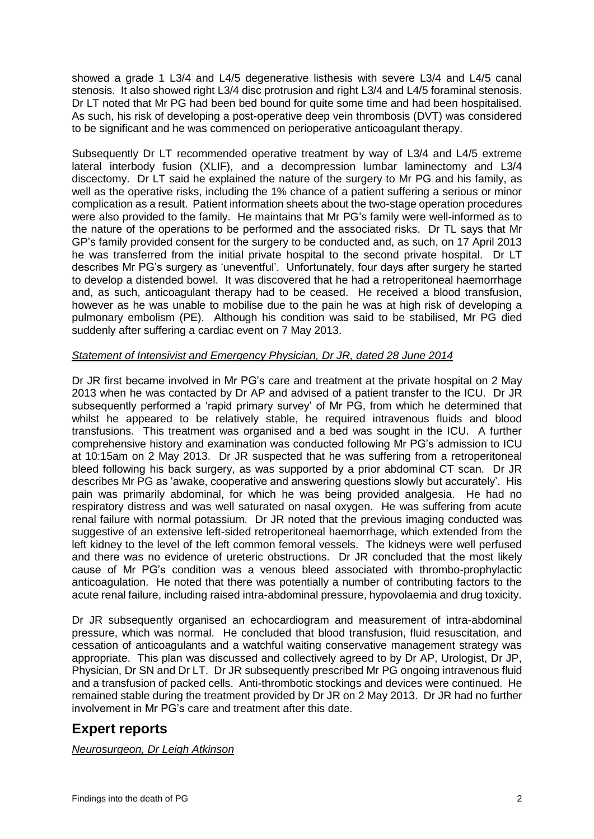showed a grade 1 L3/4 and L4/5 degenerative listhesis with severe L3/4 and L4/5 canal stenosis. It also showed right L3/4 disc protrusion and right L3/4 and L4/5 foraminal stenosis. Dr LT noted that Mr PG had been bed bound for quite some time and had been hospitalised. As such, his risk of developing a post-operative deep vein thrombosis (DVT) was considered to be significant and he was commenced on perioperative anticoagulant therapy.

Subsequently Dr LT recommended operative treatment by way of L3/4 and L4/5 extreme lateral interbody fusion (XLIF), and a decompression lumbar laminectomy and L3/4 discectomy. Dr LT said he explained the nature of the surgery to Mr PG and his family, as well as the operative risks, including the 1% chance of a patient suffering a serious or minor complication as a result. Patient information sheets about the two-stage operation procedures were also provided to the family. He maintains that Mr PG's family were well-informed as to the nature of the operations to be performed and the associated risks. Dr TL says that Mr GP's family provided consent for the surgery to be conducted and, as such, on 17 April 2013 he was transferred from the initial private hospital to the second private hospital. Dr LT describes Mr PG's surgery as 'uneventful'. Unfortunately, four days after surgery he started to develop a distended bowel. It was discovered that he had a retroperitoneal haemorrhage and, as such, anticoagulant therapy had to be ceased. He received a blood transfusion, however as he was unable to mobilise due to the pain he was at high risk of developing a pulmonary embolism (PE). Although his condition was said to be stabilised, Mr PG died suddenly after suffering a cardiac event on 7 May 2013.

#### *Statement of Intensivist and Emergency Physician, Dr JR, dated 28 June 2014*

Dr JR first became involved in Mr PG's care and treatment at the private hospital on 2 May 2013 when he was contacted by Dr AP and advised of a patient transfer to the ICU. Dr JR subsequently performed a 'rapid primary survey' of Mr PG, from which he determined that whilst he appeared to be relatively stable, he required intravenous fluids and blood transfusions. This treatment was organised and a bed was sought in the ICU. A further comprehensive history and examination was conducted following Mr PG's admission to ICU at 10:15am on 2 May 2013. Dr JR suspected that he was suffering from a retroperitoneal bleed following his back surgery, as was supported by a prior abdominal CT scan. Dr JR describes Mr PG as 'awake, cooperative and answering questions slowly but accurately'. His pain was primarily abdominal, for which he was being provided analgesia. He had no respiratory distress and was well saturated on nasal oxygen. He was suffering from acute renal failure with normal potassium. Dr JR noted that the previous imaging conducted was suggestive of an extensive left-sided retroperitoneal haemorrhage, which extended from the left kidney to the level of the left common femoral vessels. The kidneys were well perfused and there was no evidence of ureteric obstructions. Dr JR concluded that the most likely cause of Mr PG's condition was a venous bleed associated with thrombo-prophylactic anticoagulation. He noted that there was potentially a number of contributing factors to the acute renal failure, including raised intra-abdominal pressure, hypovolaemia and drug toxicity.

Dr JR subsequently organised an echocardiogram and measurement of intra-abdominal pressure, which was normal. He concluded that blood transfusion, fluid resuscitation, and cessation of anticoagulants and a watchful waiting conservative management strategy was appropriate. This plan was discussed and collectively agreed to by Dr AP, Urologist, Dr JP, Physician, Dr SN and Dr LT. Dr JR subsequently prescribed Mr PG ongoing intravenous fluid and a transfusion of packed cells. Anti-thrombotic stockings and devices were continued. He remained stable during the treatment provided by Dr JR on 2 May 2013. Dr JR had no further involvement in Mr PG's care and treatment after this date.

## <span id="page-3-0"></span>**Expert reports**

*Neurosurgeon, Dr Leigh Atkinson*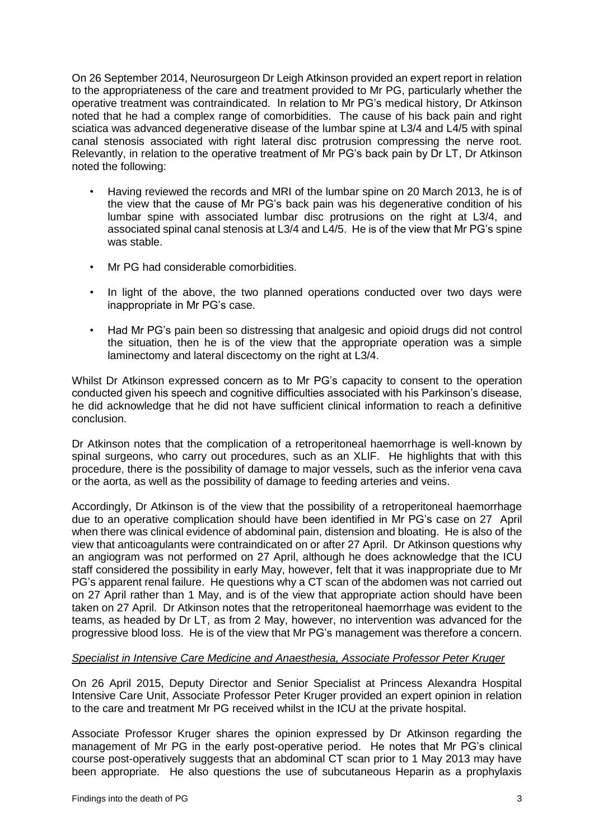On 26 September 2014, Neurosurgeon Dr Leigh Atkinson provided an expert report in relation to the appropriateness of the care and treatment provided to Mr PG, particularly whether the operative treatment was contraindicated. In relation to Mr PG's medical history, Dr Atkinson noted that he had a complex range of comorbidities. The cause of his back pain and right sciatica was advanced degenerative disease of the lumbar spine at L3/4 and L4/5 with spinal canal stenosis associated with right lateral disc protrusion compressing the nerve root. Relevantly, in relation to the operative treatment of Mr PG's back pain by Dr LT, Dr Atkinson noted the following:

- Having reviewed the records and MRI of the lumbar spine on 20 March 2013, he is of the view that the cause of Mr PG's back pain was his degenerative condition of his lumbar spine with associated lumbar disc protrusions on the right at L3/4, and associated spinal canal stenosis at L3/4 and L4/5. He is of the view that Mr PG's spine was stable.
- Mr PG had considerable comorbidities.
- In light of the above, the two planned operations conducted over two days were inappropriate in Mr PG's case.
- Had Mr PG's pain been so distressing that analgesic and opioid drugs did not control the situation, then he is of the view that the appropriate operation was a simple laminectomy and lateral discectomy on the right at L3/4.

Whilst Dr Atkinson expressed concern as to Mr PG's capacity to consent to the operation conducted given his speech and cognitive difficulties associated with his Parkinson's disease, he did acknowledge that he did not have sufficient clinical information to reach a definitive conclusion.

Dr Atkinson notes that the complication of a retroperitoneal haemorrhage is well-known by spinal surgeons, who carry out procedures, such as an XLIF. He highlights that with this procedure, there is the possibility of damage to major vessels, such as the inferior vena cava or the aorta, as well as the possibility of damage to feeding arteries and veins.

Accordingly, Dr Atkinson is of the view that the possibility of a retroperitoneal haemorrhage due to an operative complication should have been identified in Mr PG's case on 27 April when there was clinical evidence of abdominal pain, distension and bloating. He is also of the view that anticoagulants were contraindicated on or after 27 April. Dr Atkinson questions why an angiogram was not performed on 27 April, although he does acknowledge that the ICU staff considered the possibility in early May, however, felt that it was inappropriate due to Mr PG's apparent renal failure. He questions why a CT scan of the abdomen was not carried out on 27 April rather than 1 May, and is of the view that appropriate action should have been taken on 27 April. Dr Atkinson notes that the retroperitoneal haemorrhage was evident to the teams, as headed by Dr LT, as from 2 May, however, no intervention was advanced for the progressive blood loss. He is of the view that Mr PG's management was therefore a concern.

#### *Specialist in Intensive Care Medicine and Anaesthesia, Associate Professor Peter Kruger*

On 26 April 2015, Deputy Director and Senior Specialist at Princess Alexandra Hospital Intensive Care Unit, Associate Professor Peter Kruger provided an expert opinion in relation to the care and treatment Mr PG received whilst in the ICU at the private hospital.

Associate Professor Kruger shares the opinion expressed by Dr Atkinson regarding the management of Mr PG in the early post-operative period. He notes that Mr PG's clinical course post-operatively suggests that an abdominal CT scan prior to 1 May 2013 may have been appropriate. He also questions the use of subcutaneous Heparin as a prophylaxis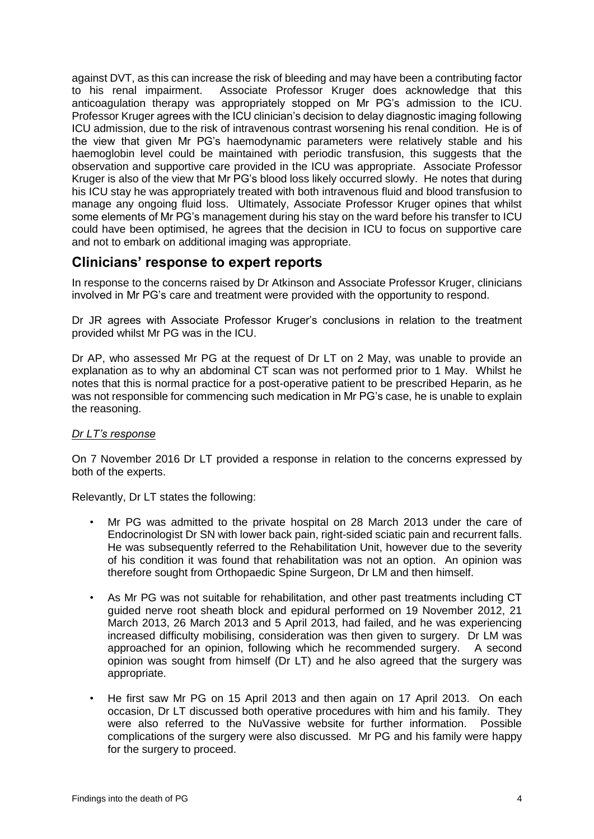against DVT, as this can increase the risk of bleeding and may have been a contributing factor to his renal impairment. Associate Professor Kruger does acknowledge that this anticoagulation therapy was appropriately stopped on Mr PG's admission to the ICU. Professor Kruger agrees with the ICU clinician's decision to delay diagnostic imaging following ICU admission, due to the risk of intravenous contrast worsening his renal condition. He is of the view that given Mr PG's haemodynamic parameters were relatively stable and his haemoglobin level could be maintained with periodic transfusion, this suggests that the observation and supportive care provided in the ICU was appropriate. Associate Professor Kruger is also of the view that Mr PG's blood loss likely occurred slowly. He notes that during his ICU stay he was appropriately treated with both intravenous fluid and blood transfusion to manage any ongoing fluid loss. Ultimately, Associate Professor Kruger opines that whilst some elements of Mr PG's management during his stay on the ward before his transfer to ICU could have been optimised, he agrees that the decision in ICU to focus on supportive care and not to embark on additional imaging was appropriate.

## <span id="page-5-0"></span>**Clinicians' response to expert reports**

In response to the concerns raised by Dr Atkinson and Associate Professor Kruger, clinicians involved in Mr PG's care and treatment were provided with the opportunity to respond.

Dr JR agrees with Associate Professor Kruger's conclusions in relation to the treatment provided whilst Mr PG was in the ICU.

Dr AP, who assessed Mr PG at the request of Dr LT on 2 May, was unable to provide an explanation as to why an abdominal CT scan was not performed prior to 1 May. Whilst he notes that this is normal practice for a post-operative patient to be prescribed Heparin, as he was not responsible for commencing such medication in Mr PG's case, he is unable to explain the reasoning.

#### *Dr LT's response*

On 7 November 2016 Dr LT provided a response in relation to the concerns expressed by both of the experts.

Relevantly, Dr LT states the following:

- Mr PG was admitted to the private hospital on 28 March 2013 under the care of Endocrinologist Dr SN with lower back pain, right-sided sciatic pain and recurrent falls. He was subsequently referred to the Rehabilitation Unit, however due to the severity of his condition it was found that rehabilitation was not an option. An opinion was therefore sought from Orthopaedic Spine Surgeon, Dr LM and then himself.
- As Mr PG was not suitable for rehabilitation, and other past treatments including CT guided nerve root sheath block and epidural performed on 19 November 2012, 21 March 2013, 26 March 2013 and 5 April 2013, had failed, and he was experiencing increased difficulty mobilising, consideration was then given to surgery. Dr LM was approached for an opinion, following which he recommended surgery. A second opinion was sought from himself (Dr LT) and he also agreed that the surgery was appropriate.
- He first saw Mr PG on 15 April 2013 and then again on 17 April 2013. On each occasion, Dr LT discussed both operative procedures with him and his family. They were also referred to the NuVassive website for further information. Possible complications of the surgery were also discussed. Mr PG and his family were happy for the surgery to proceed.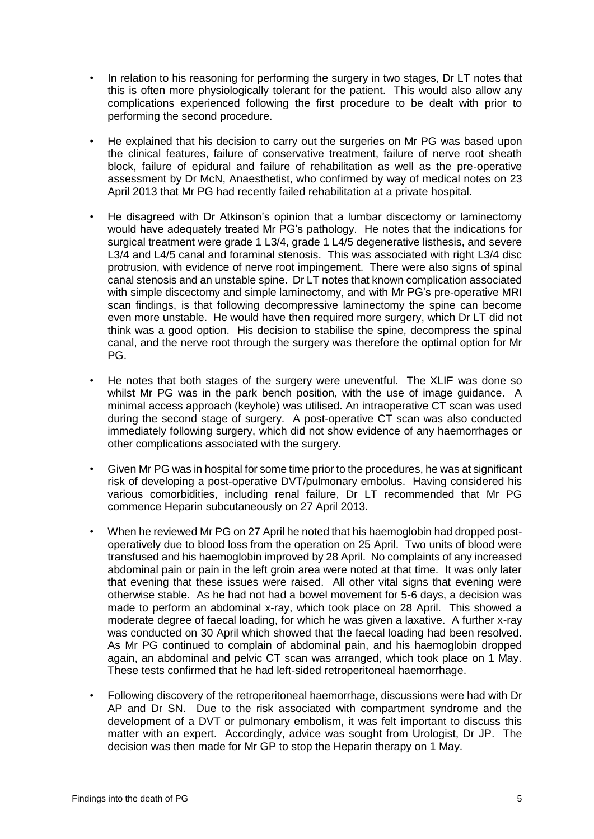- In relation to his reasoning for performing the surgery in two stages, Dr LT notes that this is often more physiologically tolerant for the patient. This would also allow any complications experienced following the first procedure to be dealt with prior to performing the second procedure.
- He explained that his decision to carry out the surgeries on Mr PG was based upon the clinical features, failure of conservative treatment, failure of nerve root sheath block, failure of epidural and failure of rehabilitation as well as the pre-operative assessment by Dr McN, Anaesthetist, who confirmed by way of medical notes on 23 April 2013 that Mr PG had recently failed rehabilitation at a private hospital.
- He disagreed with Dr Atkinson's opinion that a lumbar discectomy or laminectomy would have adequately treated Mr PG's pathology. He notes that the indications for surgical treatment were grade 1 L3/4, grade 1 L4/5 degenerative listhesis, and severe L3/4 and L4/5 canal and foraminal stenosis. This was associated with right L3/4 disc protrusion, with evidence of nerve root impingement. There were also signs of spinal canal stenosis and an unstable spine. Dr LT notes that known complication associated with simple discectomy and simple laminectomy, and with Mr PG's pre-operative MRI scan findings, is that following decompressive laminectomy the spine can become even more unstable. He would have then required more surgery, which Dr LT did not think was a good option. His decision to stabilise the spine, decompress the spinal canal, and the nerve root through the surgery was therefore the optimal option for Mr PG.
- He notes that both stages of the surgery were uneventful. The XLIF was done so whilst Mr PG was in the park bench position, with the use of image guidance. A minimal access approach (keyhole) was utilised. An intraoperative CT scan was used during the second stage of surgery. A post-operative CT scan was also conducted immediately following surgery, which did not show evidence of any haemorrhages or other complications associated with the surgery.
- Given Mr PG was in hospital for some time prior to the procedures, he was at significant risk of developing a post-operative DVT/pulmonary embolus. Having considered his various comorbidities, including renal failure, Dr LT recommended that Mr PG commence Heparin subcutaneously on 27 April 2013.
- When he reviewed Mr PG on 27 April he noted that his haemoglobin had dropped postoperatively due to blood loss from the operation on 25 April. Two units of blood were transfused and his haemoglobin improved by 28 April. No complaints of any increased abdominal pain or pain in the left groin area were noted at that time. It was only later that evening that these issues were raised. All other vital signs that evening were otherwise stable. As he had not had a bowel movement for 5-6 days, a decision was made to perform an abdominal x-ray, which took place on 28 April. This showed a moderate degree of faecal loading, for which he was given a laxative. A further x-ray was conducted on 30 April which showed that the faecal loading had been resolved. As Mr PG continued to complain of abdominal pain, and his haemoglobin dropped again, an abdominal and pelvic CT scan was arranged, which took place on 1 May. These tests confirmed that he had left-sided retroperitoneal haemorrhage.
- Following discovery of the retroperitoneal haemorrhage, discussions were had with Dr AP and Dr SN. Due to the risk associated with compartment syndrome and the development of a DVT or pulmonary embolism, it was felt important to discuss this matter with an expert. Accordingly, advice was sought from Urologist, Dr JP. The decision was then made for Mr GP to stop the Heparin therapy on 1 May.